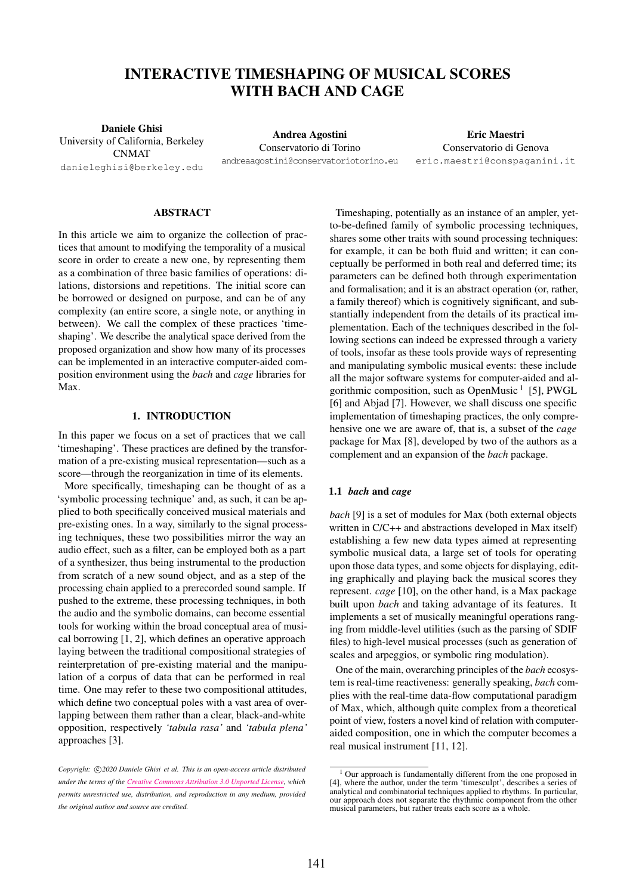# INTERACTIVE TIMESHAPING OF MUSICAL SCORES WITH BACH AND CAGE

Daniele Ghisi University of California, Berkeley CNMAT [danieleghisi@berkeley.edu](mailto:danieleghisi@berkeley.edu)

Andrea Agostini Conservatorio di Torino a[ndreaagostini@conservatoriotorino.eu](mailto:andreaagostini@conservatoriotorino.eu)

Eric Maestri Conservatorio di Genova er[ic.maestri@conspaganini.it](mailto:eric.maestri@conspaganini.it)

## ABSTRACT

In this article we aim to organize the collection of practices that amount to modifying the temporality of a musical score in order to create a new one, by representing them as a combination of three basic families of operations: dilations, distorsions and repetitions. The initial score can be borrowed or designed on purpose, and can be of any complexity (an entire score, a single note, or anything in between). We call the complex of these practices 'timeshaping'. We describe the analytical space derived from the proposed organization and show how many of its processes can be implemented in an interactive computer-aided composition environment using the *bach* and *cage* libraries for Max.

# 1. INTRODUCTION

In this paper we focus on a set of practices that we call 'timeshaping'. These practices are defined by the transformation of a pre-existing musical representation—such as a score—through the reorganization in time of its elements.

More specifically, timeshaping can be thought of as a 'symbolic processing technique' and, as such, it can be applied to both specifically conceived musical materials and pre-existing ones. In a way, similarly to the signal processing techniques, these two possibilities mirror the way an audio effect, such as a filter, can be employed both as a part of a synthesizer, thus being instrumental to the production from scratch of a new sound object, and as a step of the processing chain applied to a prerecorded sound sample. If pushed to the extreme, these processing techniques, in both the audio and the symbolic domains, can become essential tools for working within the broad conceptual area of musical borrowing [1, 2], which defines an operative approach laying between the traditional compositional strategies of reinterpretation of pre-existing material and the manipulation of a corpus of data that can be performed in real time. One may refer to these two compositional attitudes, which define two conceptual poles with a vast area of overlapping between them rather than a clear, black-and-white opposition, respectively *'tabula rasa'* and *'tabula plena'* approaches [3].

Timeshaping, potentially as an instance of an ampler, yetto-be-defined family of symbolic processing techniques, shares some other traits with sound processing techniques: for example, it can be both fluid and written; it can conceptually be performed in both real and deferred time; its parameters can be defined both through experimentation and formalisation; and it is an abstract operation (or, rather, a family thereof) which is cognitively significant, and substantially independent from the details of its practical implementation. Each of the techniques described in the following sections can indeed be expressed through a variety of tools, insofar as these tools provide ways of representing and manipulating symbolic musical events: these include all the major software systems for computer-aided and algorithmic composition, such as OpenMusic<sup>1</sup> [5], PWGL [6] and Abjad [7]. However, we shall discuss one specific implementation of timeshaping practices, the only comprehensive one we are aware of, that is, a subset of the *cage* package for Max [8], developed by two of the authors as a complement and an expansion of the *bach* package.

#### 1.1 *bach* and *cage*

*bach* [9] is a set of modules for Max (both external objects written in C/C++ and abstractions developed in Max itself) establishing a few new data types aimed at representing symbolic musical data, a large set of tools for operating upon those data types, and some objects for displaying, editing graphically and playing back the musical scores they represent. *cage* [10], on the other hand, is a Max package built upon *bach* and taking advantage of its features. It implements a set of musically meaningful operations ranging from middle-level utilities (such as the parsing of SDIF files) to high-level musical processes (such as generation of scales and arpeggios, or symbolic ring modulation).

One of the main, overarching principles of the *bach* ecosystem is real-time reactiveness: generally speaking, *bach* complies with the real-time data-flow computational paradigm of Max, which, although quite complex from a theoretical point of view, fosters a novel kind of relation with computeraided composition, one in which the computer becomes a real musical instrument [11, 12].

Copyright:  $\bigcirc$ 2020 Daniele Ghisi et al. This is an open-access article distributed *under the terms of the [Creative Commons Attribution 3.0 Unported License,](http://creativecommons.org/licenses/by/3.0/) which permits unrestricted use, distribution, and reproduction in any medium, provided the original author and source are credited.*

<sup>&</sup>lt;sup>1</sup> Our approach is fundamentally different from the one proposed in [4], where the author, under the term 'timesculpt', describes a series of analytical and combinatorial techniques applied to rhythms. In particular, our approach does not separate the rhythmic component from the other musical parameters, but rather treats each score as a whole.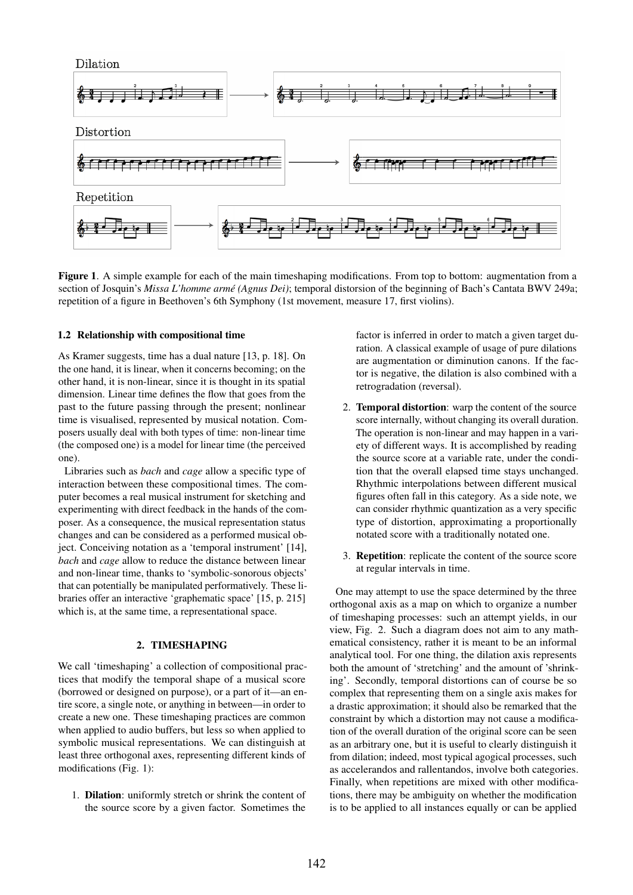

Figure 1. A simple example for each of the main timeshaping modifications. From top to bottom: augmentation from a section of Josquin's *Missa L'homme arme (Agnus Dei) ´* ; temporal distorsion of the beginning of Bach's Cantata BWV 249a; repetition of a figure in Beethoven's 6th Symphony (1st movement, measure 17, first violins).

## 1.2 Relationship with compositional time

As Kramer suggests, time has a dual nature [13, p. 18]. On the one hand, it is linear, when it concerns becoming; on the other hand, it is non-linear, since it is thought in its spatial dimension. Linear time defines the flow that goes from the past to the future passing through the present; nonlinear time is visualised, represented by musical notation. Composers usually deal with both types of time: non-linear time (the composed one) is a model for linear time (the perceived one).

Libraries such as *bach* and *cage* allow a specific type of interaction between these compositional times. The computer becomes a real musical instrument for sketching and experimenting with direct feedback in the hands of the composer. As a consequence, the musical representation status changes and can be considered as a performed musical object. Conceiving notation as a 'temporal instrument' [14], *bach* and *cage* allow to reduce the distance between linear and non-linear time, thanks to 'symbolic-sonorous objects' that can potentially be manipulated performatively. These libraries offer an interactive 'graphematic space' [15, p. 215] which is, at the same time, a representational space.

# 2. TIMESHAPING

We call 'timeshaping' a collection of compositional practices that modify the temporal shape of a musical score (borrowed or designed on purpose), or a part of it—an entire score, a single note, or anything in between—in order to create a new one. These timeshaping practices are common when applied to audio buffers, but less so when applied to symbolic musical representations. We can distinguish at least three orthogonal axes, representing different kinds of modifications (Fig. 1):

1. Dilation: uniformly stretch or shrink the content of the source score by a given factor. Sometimes the

factor is inferred in order to match a given target duration. A classical example of usage of pure dilations are augmentation or diminution canons. If the factor is negative, the dilation is also combined with a retrogradation (reversal).

- 2. Temporal distortion: warp the content of the source score internally, without changing its overall duration. The operation is non-linear and may happen in a variety of different ways. It is accomplished by reading the source score at a variable rate, under the condition that the overall elapsed time stays unchanged. Rhythmic interpolations between different musical figures often fall in this category. As a side note, we can consider rhythmic quantization as a very specific type of distortion, approximating a proportionally notated score with a traditionally notated one.
- 3. Repetition: replicate the content of the source score at regular intervals in time.

One may attempt to use the space determined by the three orthogonal axis as a map on which to organize a number of timeshaping processes: such an attempt yields, in our view, Fig. 2. Such a diagram does not aim to any mathematical consistency, rather it is meant to be an informal analytical tool. For one thing, the dilation axis represents both the amount of 'stretching' and the amount of 'shrinking'. Secondly, temporal distortions can of course be so complex that representing them on a single axis makes for a drastic approximation; it should also be remarked that the constraint by which a distortion may not cause a modification of the overall duration of the original score can be seen as an arbitrary one, but it is useful to clearly distinguish it from dilation; indeed, most typical agogical processes, such as accelerandos and rallentandos, involve both categories. Finally, when repetitions are mixed with other modifications, there may be ambiguity on whether the modification is to be applied to all instances equally or can be applied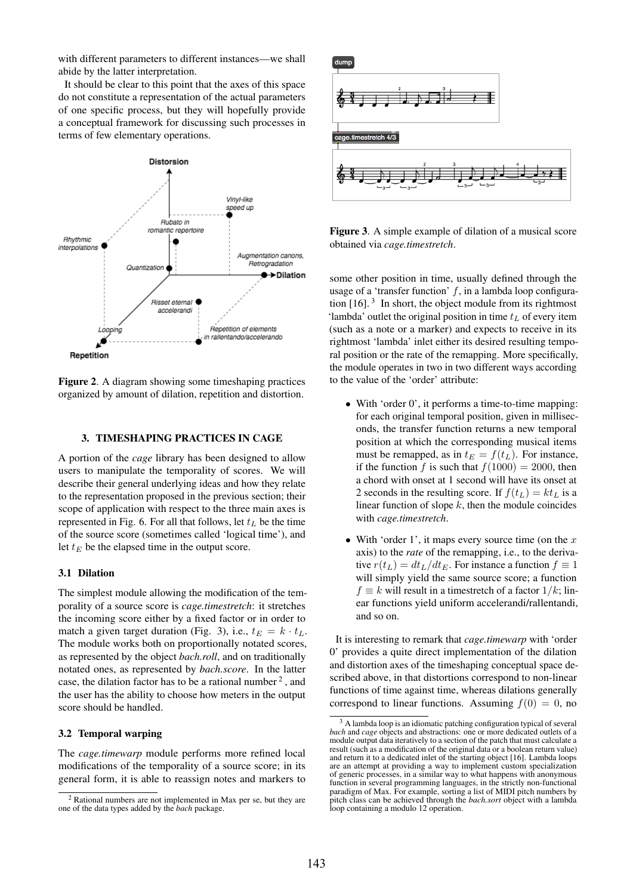with different parameters to different instances—we shall abide by the latter interpretation.

It should be clear to this point that the axes of this space do not constitute a representation of the actual parameters of one specific process, but they will hopefully provide a conceptual framework for discussing such processes in terms of few elementary operations.



Figure 2. A diagram showing some timeshaping practices organized by amount of dilation, repetition and distortion.

## 3. TIMESHAPING PRACTICES IN CAGE

A portion of the *cage* library has been designed to allow users to manipulate the temporality of scores. We will describe their general underlying ideas and how they relate to the representation proposed in the previous section; their scope of application with respect to the three main axes is represented in Fig. 6. For all that follows, let  $t_L$  be the time of the source score (sometimes called 'logical time'), and let  $t_E$  be the elapsed time in the output score.

#### 3.1 Dilation

The simplest module allowing the modification of the temporality of a source score is *cage.timestretch*: it stretches the incoming score either by a fixed factor or in order to match a given target duration (Fig. 3), i.e.,  $t_E = k \cdot t_L$ . The module works both on proportionally notated scores, as represented by the object *bach.roll*, and on traditionally notated ones, as represented by *bach.score*. In the latter case, the dilation factor has to be a rational number  $2$ , and the user has the ability to choose how meters in the output score should be handled.

# 3.2 Temporal warping

The *cage.timewarp* module performs more refined local modifications of the temporality of a source score; in its general form, it is able to reassign notes and markers to



Figure 3. A simple example of dilation of a musical score obtained via *cage.timestretch*.

some other position in time, usually defined through the usage of a 'transfer function'  $f$ , in a lambda loop configuration  $[16]$ .<sup>3</sup> In short, the object module from its rightmost 'lambda' outlet the original position in time  $t_L$  of every item (such as a note or a marker) and expects to receive in its rightmost 'lambda' inlet either its desired resulting temporal position or the rate of the remapping. More specifically, the module operates in two in two different ways according to the value of the 'order' attribute:

- With 'order 0', it performs a time-to-time mapping: for each original temporal position, given in milliseconds, the transfer function returns a new temporal position at which the corresponding musical items must be remapped, as in  $t_E = f(t_L)$ . For instance, if the function f is such that  $f(1000) = 2000$ , then a chord with onset at 1 second will have its onset at 2 seconds in the resulting score. If  $f(t_L) = kt_L$  is a linear function of slope  $k$ , then the module coincides with *cage.timestretch*.
- With 'order 1', it maps every source time (on the  $x$ axis) to the *rate* of the remapping, i.e., to the derivative  $r(t_L) = dt_L/dt_E$ . For instance a function  $f \equiv 1$ will simply yield the same source score; a function  $f \equiv k$  will result in a timestretch of a factor  $1/k$ ; linear functions yield uniform accelerandi/rallentandi, and so on.

It is interesting to remark that *cage.timewarp* with 'order 0' provides a quite direct implementation of the dilation and distortion axes of the timeshaping conceptual space described above, in that distortions correspond to non-linear functions of time against time, whereas dilations generally correspond to linear functions. Assuming  $f(0) = 0$ , no

<sup>2</sup> Rational numbers are not implemented in Max per se, but they are one of the data types added by the *bach* package.

<sup>&</sup>lt;sup>3</sup> A lambda loop is an idiomatic patching configuration typical of several *bach* and *cage* objects and abstractions: one or more dedicated outlets of a module output data iteratively to a section of the patch that must calculate a result (such as a modification of the original data or a boolean return value) and return it to a dedicated inlet of the starting object [16]. Lambda loops are an attempt at providing a way to implement custom specialization of generic processes, in a similar way to what happens with anonymous function in several programming languages, in the strictly non-functional paradigm of Max. For example, sorting a list of MIDI pitch numbers by pitch class can be achieved through the *bach.sort* object with a lambda loop containing a modulo 12 operation.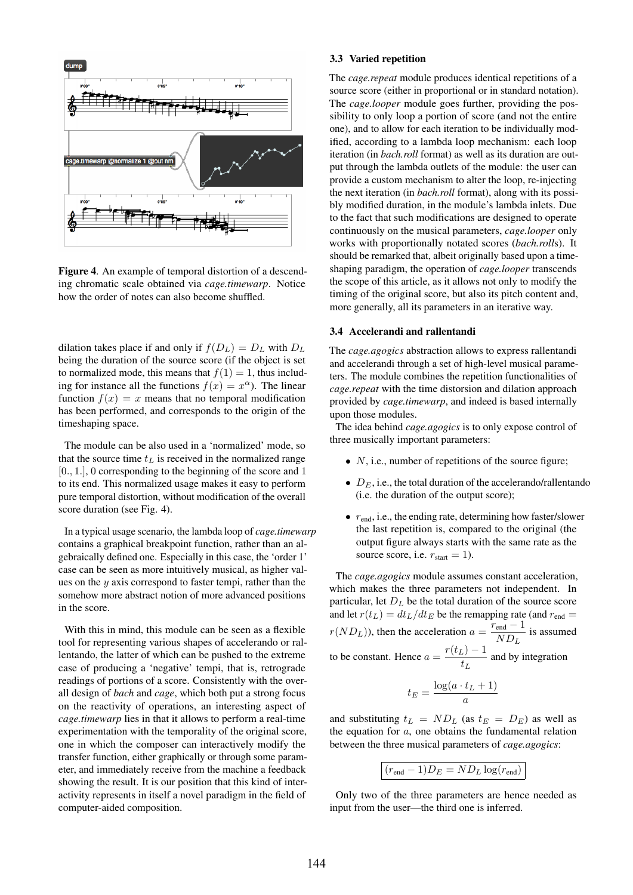

Figure 4. An example of temporal distortion of a descending chromatic scale obtained via *cage.timewarp*. Notice how the order of notes can also become shuffled.

dilation takes place if and only if  $f(D_L) = D_L$  with  $D_L$ being the duration of the source score (if the object is set to normalized mode, this means that  $f(1) = 1$ , thus including for instance all the functions  $f(x) = x^{\alpha}$ ). The linear function  $f(x) = x$  means that no temporal modification has been performed, and corresponds to the origin of the timeshaping space.

The module can be also used in a 'normalized' mode, so that the source time  $t<sub>L</sub>$  is received in the normalized range [0., 1.], 0 corresponding to the beginning of the score and 1 to its end. This normalized usage makes it easy to perform pure temporal distortion, without modification of the overall score duration (see Fig. 4).

In a typical usage scenario, the lambda loop of *cage.timewarp* contains a graphical breakpoint function, rather than an algebraically defined one. Especially in this case, the 'order 1' case can be seen as more intuitively musical, as higher values on the  $y$  axis correspond to faster tempi, rather than the somehow more abstract notion of more advanced positions in the score.

With this in mind, this module can be seen as a flexible tool for representing various shapes of accelerando or rallentando, the latter of which can be pushed to the extreme case of producing a 'negative' tempi, that is, retrograde readings of portions of a score. Consistently with the overall design of *bach* and *cage*, which both put a strong focus on the reactivity of operations, an interesting aspect of *cage.timewarp* lies in that it allows to perform a real-time experimentation with the temporality of the original score, one in which the composer can interactively modify the transfer function, either graphically or through some parameter, and immediately receive from the machine a feedback showing the result. It is our position that this kind of interactivity represents in itself a novel paradigm in the field of computer-aided composition.

#### 3.3 Varied repetition

The *cage.repeat* module produces identical repetitions of a source score (either in proportional or in standard notation). The *cage.looper* module goes further, providing the possibility to only loop a portion of score (and not the entire one), and to allow for each iteration to be individually modified, according to a lambda loop mechanism: each loop iteration (in *bach.roll* format) as well as its duration are output through the lambda outlets of the module: the user can provide a custom mechanism to alter the loop, re-injecting the next iteration (in *bach.roll* format), along with its possibly modified duration, in the module's lambda inlets. Due to the fact that such modifications are designed to operate continuously on the musical parameters, *cage.looper* only works with proportionally notated scores (*bach.roll*s). It should be remarked that, albeit originally based upon a timeshaping paradigm, the operation of *cage.looper* transcends the scope of this article, as it allows not only to modify the timing of the original score, but also its pitch content and, more generally, all its parameters in an iterative way.

# 3.4 Accelerandi and rallentandi

The *cage.agogics* abstraction allows to express rallentandi and accelerandi through a set of high-level musical parameters. The module combines the repetition functionalities of *cage.repeat* with the time distorsion and dilation approach provided by *cage.timewarp*, and indeed is based internally upon those modules.

The idea behind *cage.agogics* is to only expose control of three musically important parameters:

- $N$ , i.e., number of repetitions of the source figure;
- $D_E$ , i.e., the total duration of the accelerando/rallentando (i.e. the duration of the output score);
- $r_{\text{end}}$ , i.e., the ending rate, determining how faster/slower the last repetition is, compared to the original (the output figure always starts with the same rate as the source score, i.e.  $r_{start} = 1$ ).

The *cage.agogics* module assumes constant acceleration, which makes the three parameters not independent. In particular, let  $D<sub>L</sub>$  be the total duration of the source score and let  $r(t_L) = dt_L/dt_E$  be the remapping rate (and  $r_{end} =$  $r(ND<sub>L</sub>))$ , then the acceleration  $a = \frac{r_{\text{end}} - 1}{ND}$  $\frac{e^{\text{ind}}}{ND_L}$  is assumed to be constant. Hence  $a = \frac{r(t_L) - 1}{t}$  $t_L$  and by integration  $t_E = \frac{\log(a \cdot t_L + 1)}{2}$ 

and substituting  $t_L = ND_L$  (as  $t_E = D_E$ ) as well as the equation for  $a$ , one obtains the fundamental relation between the three musical parameters of *cage.agogics*:

a

$$
(r_{\text{end}} - 1)D_E = ND_L \log(r_{\text{end}})
$$

Only two of the three parameters are hence needed as input from the user—the third one is inferred.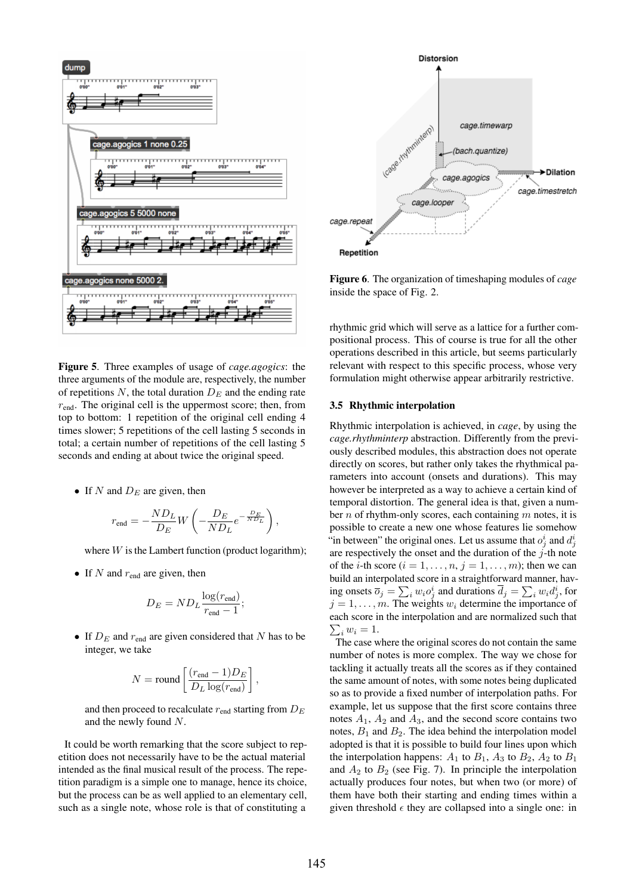

Figure 5. Three examples of usage of *cage.agogics*: the three arguments of the module are, respectively, the number of repetitions  $N$ , the total duration  $D_E$  and the ending rate  $r_{\text{end}}$ . The original cell is the uppermost score; then, from top to bottom: 1 repetition of the original cell ending 4 times slower; 5 repetitions of the cell lasting 5 seconds in total; a certain number of repetitions of the cell lasting 5 seconds and ending at about twice the original speed.

• If N and  $D_E$  are given, then

$$
r_{\text{end}} = -\frac{ND_L}{D_E}W\left(-\frac{D_E}{ND_L}e^{-\frac{D_E}{ND_L}}\right),\,
$$

where  $W$  is the Lambert function (product logarithm);

• If  $N$  and  $r_{end}$  are given, then

$$
D_E = N D_L \frac{\log(r_{\text{end}})}{r_{\text{end}} - 1};
$$

• If  $D_E$  and  $r_{end}$  are given considered that N has to be integer, we take

$$
N = \text{round}\left[\frac{(r_\text{end}-1)D_E}{D_L\log(r_\text{end})}\right],
$$

and then proceed to recalculate  $r_{end}$  starting from  $D_E$ and the newly found N.

It could be worth remarking that the score subject to repetition does not necessarily have to be the actual material intended as the final musical result of the process. The repetition paradigm is a simple one to manage, hence its choice, but the process can be as well applied to an elementary cell, such as a single note, whose role is that of constituting a



Figure 6. The organization of timeshaping modules of *cage* inside the space of Fig. 2.

rhythmic grid which will serve as a lattice for a further compositional process. This of course is true for all the other operations described in this article, but seems particularly relevant with respect to this specific process, whose very formulation might otherwise appear arbitrarily restrictive.

## 3.5 Rhythmic interpolation

Rhythmic interpolation is achieved, in *cage*, by using the *cage.rhythminterp* abstraction. Differently from the previously described modules, this abstraction does not operate directly on scores, but rather only takes the rhythmical parameters into account (onsets and durations). This may however be interpreted as a way to achieve a certain kind of temporal distortion. The general idea is that, given a number  $n$  of rhythm-only scores, each containing  $m$  notes, it is possible to create a new one whose features lie somehow "in between" the original ones. Let us assume that  $o_j^i$  and  $d_j^i$ are respectively the onset and the duration of the  $j$ -th note of the *i*-th score  $(i = 1, \ldots, n, j = 1, \ldots, m)$ ; then we can build an interpolated score in a straightforward manner, having onsets  $\overline{o}_j = \sum_i w_i o_j^i$  and durations  $\overline{d}_j = \sum_i w_i d_j^i$ , for  $j = 1, \ldots, m$ . The weights  $w_i$  determine the importance of  $\sum_i w_i = 1.$ each score in the interpolation and are normalized such that

The case where the original scores do not contain the same number of notes is more complex. The way we chose for tackling it actually treats all the scores as if they contained the same amount of notes, with some notes being duplicated so as to provide a fixed number of interpolation paths. For example, let us suppose that the first score contains three notes  $A_1$ ,  $A_2$  and  $A_3$ , and the second score contains two notes,  $B_1$  and  $B_2$ . The idea behind the interpolation model adopted is that it is possible to build four lines upon which the interpolation happens:  $A_1$  to  $B_1$ ,  $A_3$  to  $B_2$ ,  $A_2$  to  $B_1$ and  $A_2$  to  $B_2$  (see Fig. 7). In principle the interpolation actually produces four notes, but when two (or more) of them have both their starting and ending times within a given threshold  $\epsilon$  they are collapsed into a single one: in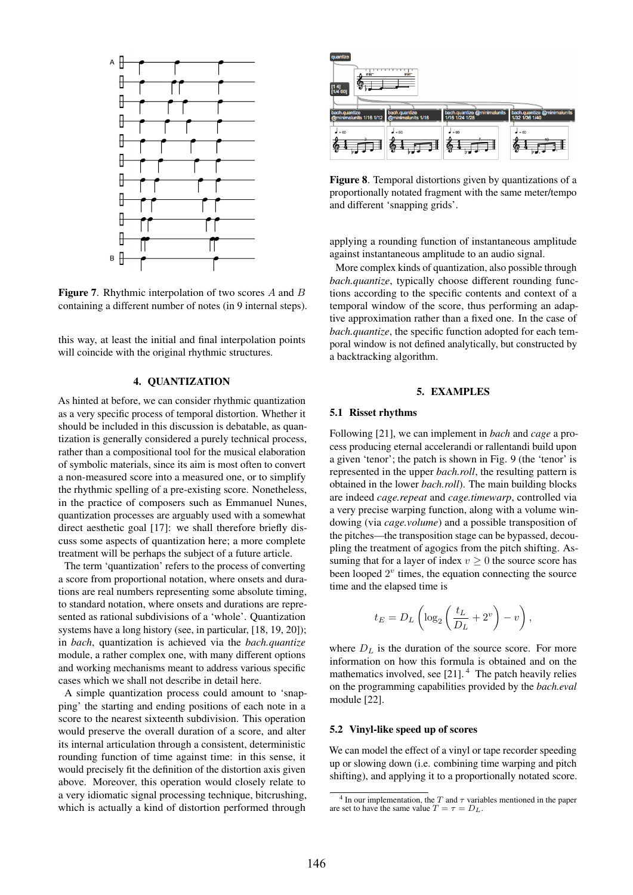

Figure 7. Rhythmic interpolation of two scores A and B containing a different number of notes (in 9 internal steps).

this way, at least the initial and final interpolation points will coincide with the original rhythmic structures.

# 4. QUANTIZATION

As hinted at before, we can consider rhythmic quantization as a very specific process of temporal distortion. Whether it should be included in this discussion is debatable, as quantization is generally considered a purely technical process, rather than a compositional tool for the musical elaboration of symbolic materials, since its aim is most often to convert a non-measured score into a measured one, or to simplify the rhythmic spelling of a pre-existing score. Nonetheless, in the practice of composers such as Emmanuel Nunes, quantization processes are arguably used with a somewhat direct aesthetic goal [17]: we shall therefore briefly discuss some aspects of quantization here; a more complete treatment will be perhaps the subject of a future article.

The term 'quantization' refers to the process of converting a score from proportional notation, where onsets and durations are real numbers representing some absolute timing, to standard notation, where onsets and durations are represented as rational subdivisions of a 'whole'. Quantization systems have a long history (see, in particular, [18, 19, 20]); in *bach*, quantization is achieved via the *bach.quantize* module, a rather complex one, with many different options and working mechanisms meant to address various specific cases which we shall not describe in detail here.

A simple quantization process could amount to 'snapping' the starting and ending positions of each note in a score to the nearest sixteenth subdivision. This operation would preserve the overall duration of a score, and alter its internal articulation through a consistent, deterministic rounding function of time against time: in this sense, it would precisely fit the definition of the distortion axis given above. Moreover, this operation would closely relate to a very idiomatic signal processing technique, bitcrushing, which is actually a kind of distortion performed through



Figure 8. Temporal distortions given by quantizations of a proportionally notated fragment with the same meter/tempo and different 'snapping grids'.

applying a rounding function of instantaneous amplitude against instantaneous amplitude to an audio signal.

More complex kinds of quantization, also possible through *bach.quantize*, typically choose different rounding functions according to the specific contents and context of a temporal window of the score, thus performing an adaptive approximation rather than a fixed one. In the case of *bach.quantize*, the specific function adopted for each temporal window is not defined analytically, but constructed by a backtracking algorithm.

# 5. EXAMPLES

# 5.1 Risset rhythms

Following [21], we can implement in *bach* and *cage* a process producing eternal accelerandi or rallentandi build upon a given 'tenor'; the patch is shown in Fig. 9 (the 'tenor' is represented in the upper *bach.roll*, the resulting pattern is obtained in the lower *bach.roll*). The main building blocks are indeed *cage.repeat* and *cage.timewarp*, controlled via a very precise warping function, along with a volume windowing (via *cage.volume*) and a possible transposition of the pitches—the transposition stage can be bypassed, decoupling the treatment of agogics from the pitch shifting. Assuming that for a layer of index  $v \geq 0$  the source score has been looped  $2^v$  times, the equation connecting the source time and the elapsed time is

$$
t_E = D_L \left( \log_2 \left( \frac{t_L}{D_L} + 2^v \right) - v \right),\,
$$

where  $D<sub>L</sub>$  is the duration of the source score. For more information on how this formula is obtained and on the mathematics involved, see [21]. 4 The patch heavily relies on the programming capabilities provided by the *bach.eval* module [22].

## 5.2 Vinyl-like speed up of scores

We can model the effect of a vinyl or tape recorder speeding up or slowing down (i.e. combining time warping and pitch shifting), and applying it to a proportionally notated score.

<sup>&</sup>lt;sup>4</sup> In our implementation, the T and  $\tau$  variables mentioned in the paper are set to have the same value  $T = \tau = D_L$ .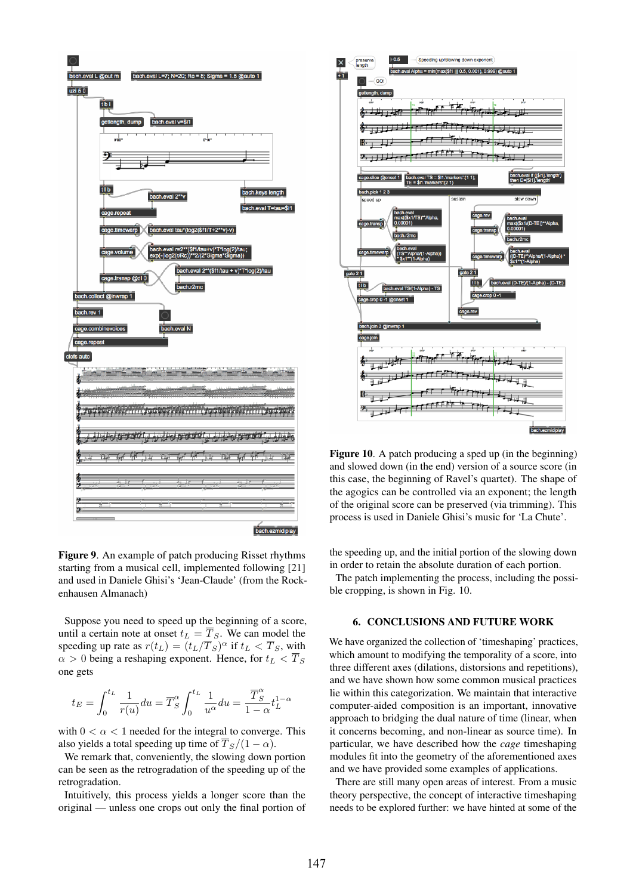

Figure 9. An example of patch producing Risset rhythms starting from a musical cell, implemented following [21] and used in Daniele Ghisi's 'Jean-Claude' (from the Rockenhausen Almanach)

Suppose you need to speed up the beginning of a score, until a certain note at onset  $t_L = \overline{T}_S$ . We can model the speeding up rate as  $r(t_L) = (t_L/\overline{T}_S)^\alpha$  if  $t_L < \overline{T}_S$ , with  $\alpha > 0$  being a reshaping exponent. Hence, for  $t_L < \overline{T}_S$ one gets

$$
t_E=\int_0^{t_L}\frac{1}{r(u)}du=\overline{T}_S^\alpha\int_0^{t_L}\frac{1}{u^\alpha}du=\frac{\overline{T}_S^\alpha}{1-\alpha}t_L^{1-\alpha}
$$

with  $0 < \alpha < 1$  needed for the integral to converge. This also yields a total speeding up time of  $\overline{T}_S/(1 - \alpha)$ .

We remark that, conveniently, the slowing down portion can be seen as the retrogradation of the speeding up of the retrogradation.

Intuitively, this process yields a longer score than the original — unless one crops out only the final portion of



Figure 10. A patch producing a sped up (in the beginning) and slowed down (in the end) version of a source score (in this case, the beginning of Ravel's quartet). The shape of the agogics can be controlled via an exponent; the length of the original score can be preserved (via trimming). This process is used in Daniele Ghisi's music for 'La Chute'.

the speeding up, and the initial portion of the slowing down in order to retain the absolute duration of each portion.

The patch implementing the process, including the possible cropping, is shown in Fig. 10.

# 6. CONCLUSIONS AND FUTURE WORK

We have organized the collection of 'timeshaping' practices, which amount to modifying the temporality of a score, into three different axes (dilations, distorsions and repetitions), and we have shown how some common musical practices lie within this categorization. We maintain that interactive computer-aided composition is an important, innovative approach to bridging the dual nature of time (linear, when it concerns becoming, and non-linear as source time). In particular, we have described how the *cage* timeshaping modules fit into the geometry of the aforementioned axes and we have provided some examples of applications.

There are still many open areas of interest. From a music theory perspective, the concept of interactive timeshaping needs to be explored further: we have hinted at some of the